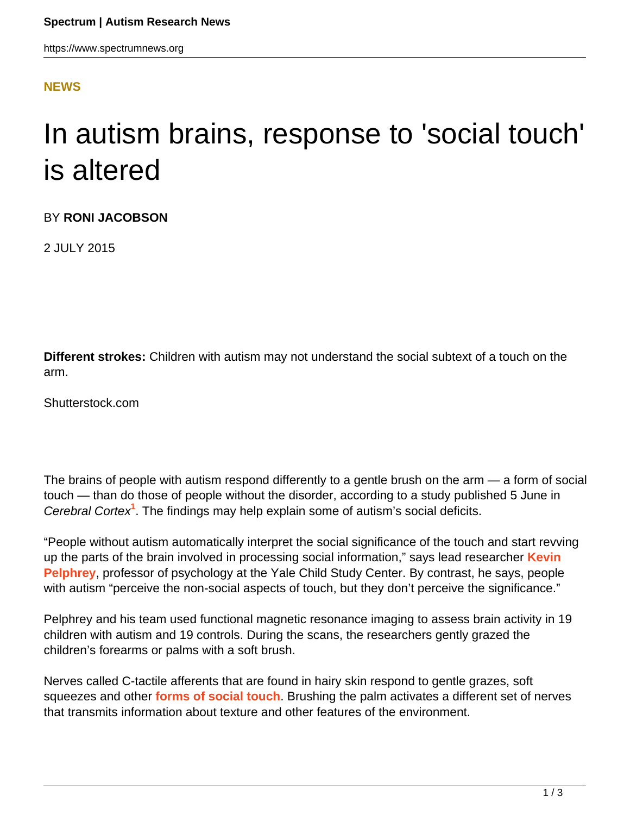## **[NEWS](HTTPS://WWW.SPECTRUMNEWS.ORG/NEWS/)**

## In autism brains, response to 'social touch' is altered

BY **RONI JACOBSON**

2 JULY 2015

**Different strokes:** Children with autism may not understand the social subtext of a touch on the arm.

Shutterstock.com

The brains of people with autism respond differently to a gentle brush on the arm — a form of social touch — than do those of people without the disorder, according to a study published 5 June in Cerebral Cortex**<sup>1</sup>** . The findings may help explain some of autism's social deficits.

"People without autism automatically interpret the social significance of the touch and start revving up the parts of the brain involved in processing social information," says lead researcher **[Kevin](https://www.spectrumnews.org/investigator-profiles/2010/kevin-pelphrey-charting-the-course-of-the-social-brain) [Pelphrey](https://www.spectrumnews.org/investigator-profiles/2010/kevin-pelphrey-charting-the-course-of-the-social-brain)**, professor of psychology at the Yale Child Study Center. By contrast, he says, people with autism "perceive the non-social aspects of touch, but they don't perceive the significance."

Pelphrey and his team used functional magnetic resonance imaging to assess brain activity in 19 children with autism and 19 controls. During the scans, the researchers gently grazed the children's forearms or palms with a soft brush.

Nerves called C-tactile afferents that are found in hairy skin respond to gentle grazes, soft squeezes and other **[forms of social touch](https://www.spectrumnews.org/conference-news/2014/society-for-neuroscience-2014/fond-caresses-loving-squeezes-shape-the-social-brain)**. Brushing the palm activates a different set of nerves that transmits information about texture and other features of the environment.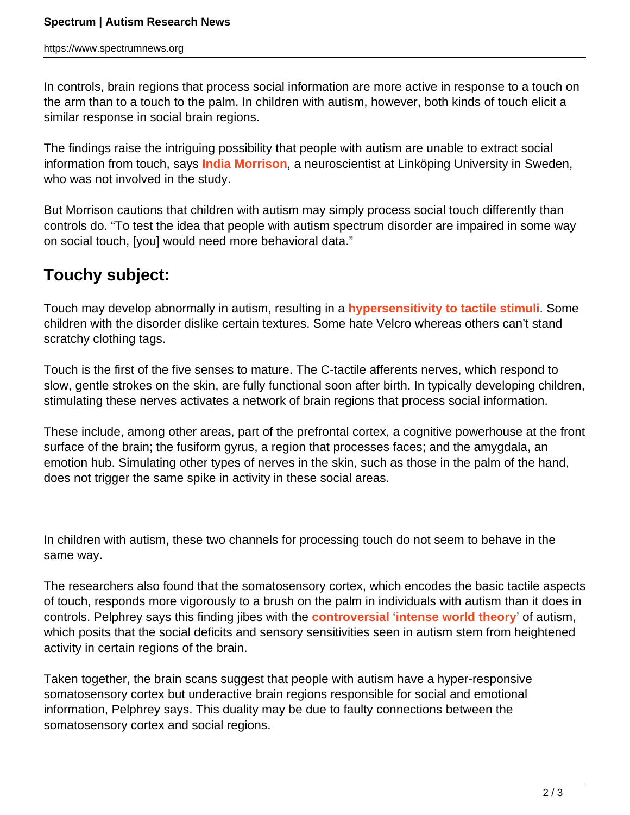In controls, brain regions that process social information are more active in response to a touch on the arm than to a touch to the palm. In children with autism, however, both kinds of touch elicit a similar response in social brain regions.

The findings raise the intriguing possibility that people with autism are unable to extract social information from touch, says **[India Morrison](https://www.hu.liu.se/ike/forskning/forskare-vid-ike/morrison-india?l=en)**, a neuroscientist at Linköping University in Sweden, who was not involved in the study.

But Morrison cautions that children with autism may simply process social touch differently than controls do. "To test the idea that people with autism spectrum disorder are impaired in some way on social touch, [you] would need more behavioral data."

## **Touchy subject:**

Touch may develop abnormally in autism, resulting in a **[hypersensitivity to tactile stimuli](https://www.spectrumnews.org/blog/2012/tracing-touch)**. Some children with the disorder dislike certain textures. Some hate Velcro whereas others can't stand scratchy clothing tags.

Touch is the first of the five senses to mature. The C-tactile afferents nerves, which respond to slow, gentle strokes on the skin, are fully functional soon after birth. In typically developing children, stimulating these nerves activates a network of brain regions that process social information.

These include, among other areas, part of the prefrontal cortex, a cognitive powerhouse at the front surface of the brain; the fusiform gyrus, a region that processes faces; and the amygdala, an emotion hub. Simulating other types of nerves in the skin, such as those in the palm of the hand, does not trigger the same spike in activity in these social areas.

In children with autism, these two channels for processing touch do not seem to behave in the same way.

The researchers also found that the somatosensory cortex, which encodes the basic tactile aspects of touch, responds more vigorously to a brush on the palm in individuals with autism than it does in controls. Pelphrey says this finding jibes with the **[controversial](http://sfari.org/sfari-community/community-blog/cross-talk/2014/how-to-evaluate-the-intense-world-paradigm)** '**[intense world theory](https://www.spectrumnews.org/blog/2011/intense-world)**' of autism, which posits that the social deficits and sensory sensitivities seen in autism stem from heightened activity in certain regions of the brain.

Taken together, the brain scans suggest that people with autism have a hyper-responsive somatosensory cortex but underactive brain regions responsible for social and emotional information, Pelphrey says. This duality may be due to faulty connections between the somatosensory cortex and social regions.